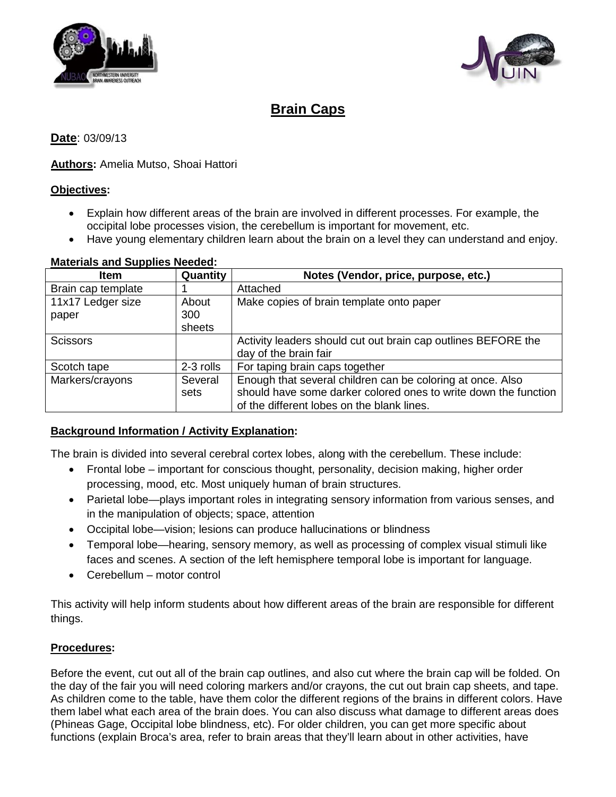



# **Brain Caps**

#### **Date**: 03/09/13

#### **Authors:** Amelia Mutso, Shoai Hattori

#### **Objectives :**

- Explain how different areas of the brain are involved in different processes. For example, the occipital lobe processes vision, the cerebellum is important for movement, etc.
- Have young elementary children learn about the brain on a level they can understand and enjoy.

#### **Materials and Supplies Needed :**

| <b>Item</b>        | Quantity  | Notes (Vendor, price, purpose, etc.)                            |
|--------------------|-----------|-----------------------------------------------------------------|
| Brain cap template |           | Attached                                                        |
| 11x17 Ledger size  | About     | Make copies of brain template onto paper                        |
| paper              | 300       |                                                                 |
|                    | sheets    |                                                                 |
| <b>Scissors</b>    |           | Activity leaders should cut out brain cap outlines BEFORE the   |
|                    |           | day of the brain fair                                           |
| Scotch tape        | 2-3 rolls | For taping brain caps together                                  |
| Markers/crayons    | Several   | Enough that several children can be coloring at once. Also      |
|                    | sets      | should have some darker colored ones to write down the function |
|                    |           | of the different lobes on the blank lines.                      |

### **Background Information / Activity Explanation :**

The brain is divided into several cerebral cortex lobes, along with the cerebellum. These include:

- Frontal lobe important for conscious thought, personality, decision making, higher order processing, mood, etc. Most uniquely human of brain structures.
- Parietal lobe—plays important roles in integrating sensory information from various senses, and in the manipulation of objects; space, attention
- Occipital lobe—vision; lesions can produce hallucinations or blindness
- Temporal lobe—hearing, sensory memory, as well as processing of complex visual stimuli like faces and scenes. A section of the left hemisphere temporal lobe is important for language.
- Cerebellum motor control

This activity will help inform students about how different areas of the brain are responsible for different things.

#### **Procedures:**

Before the event, cut out all of the brain cap outlines, and also cut where the brain cap will be folded. On the day of the fair you will need coloring markers and/or crayons, the cut out brain cap sheets, and tape. As children come to the table, have them color the different regions of the brains in different colors. Have them label what each area of the brain does. You can also discuss what damage to different areas does (Phineas Gage, Occipital lobe blindness, etc). For older children, you can get more specific about functions (explain Broca's area, refer to brain areas that they'll learn about in other activities, have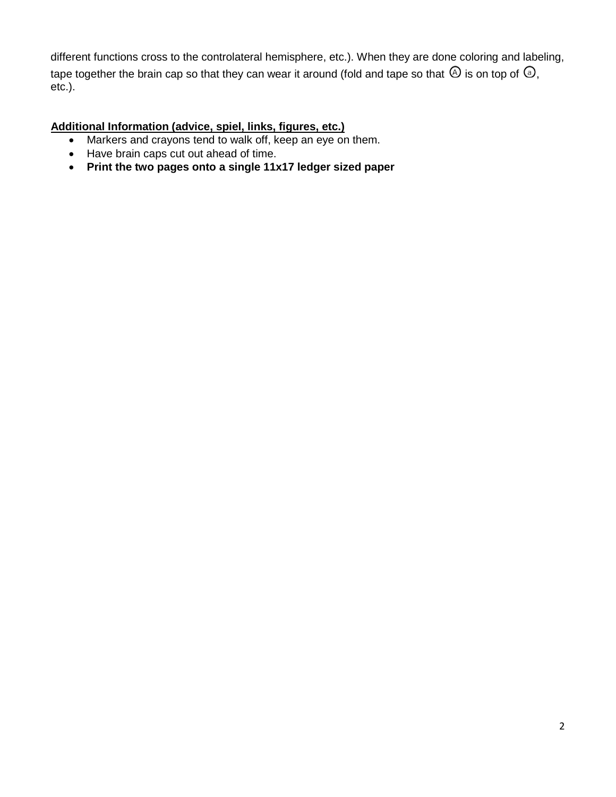different functions cross to the controlateral hemisphere, etc.). When they are done coloring and labeling, tape together the brain cap so that they can wear it around (fold and tape so that  $\overline{Q}$  is on top of  $\overline{Q}$ , etc.).

## **Additional Information (advice, spiel, links, figures, etc.)**

- Markers and crayons tend to walk off, keep an eye on them.
- Have brain caps cut out ahead of time.
- **Print the two pages onto a single 11x17 ledger sized paper**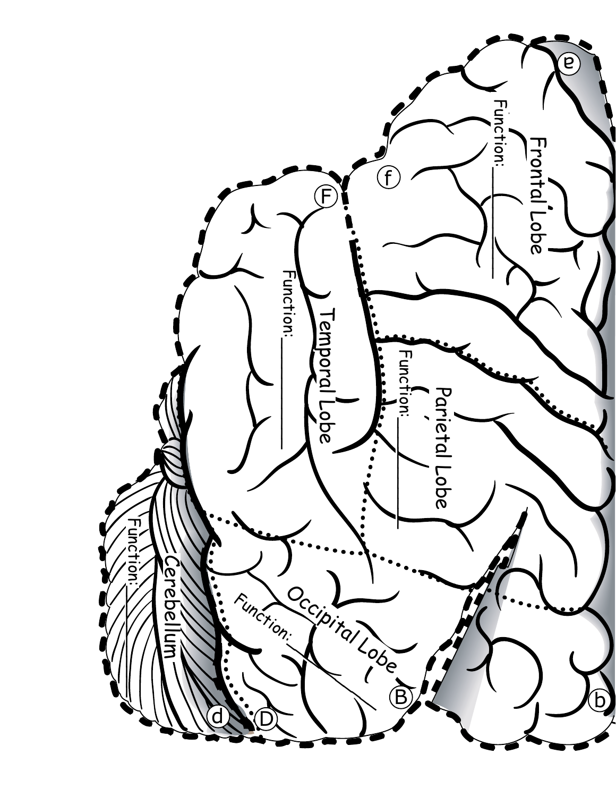